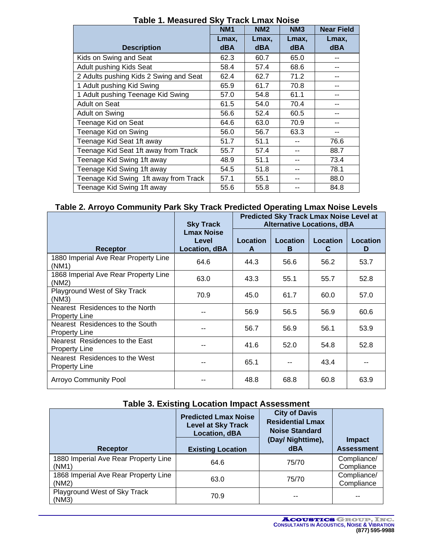| LANG I. MGASULGU YAY TIACK LIIIAA NUISG |                 |                 |                 |                   |
|-----------------------------------------|-----------------|-----------------|-----------------|-------------------|
|                                         | NM <sub>1</sub> | NM <sub>2</sub> | NM <sub>3</sub> | <b>Near Field</b> |
|                                         | Lmax,           | Lmax.           | Lmax,           | Lmax,             |
| <b>Description</b>                      | <b>dBA</b>      | <b>dBA</b>      | <b>dBA</b>      | <b>dBA</b>        |
| Kids on Swing and Seat                  | 62.3            | 60.7            | 65.0            |                   |
| Adult pushing Kids Seat                 | 58.4            | 57.4            | 68.6            |                   |
| 2 Adults pushing Kids 2 Swing and Seat  | 62.4            | 62.7            | 71.2            |                   |
| 1 Adult pushing Kid Swing               | 65.9            | 61.7            | 70.8            |                   |
| 1 Adult pushing Teenage Kid Swing       | 57.0            | 54.8            | 61.1            |                   |
| Adult on Seat                           | 61.5            | 54.0            | 70.4            |                   |
| Adult on Swing                          | 56.6            | 52.4            | 60.5            |                   |
| Teenage Kid on Seat                     | 64.6            | 63.0            | 70.9            |                   |
| Teenage Kid on Swing                    | 56.0            | 56.7            | 63.3            |                   |
| Teenage Kid Seat 1ft away               | 51.7            | 51.1            | --              | 76.6              |
| Teenage Kid Seat 1ft away from Track    | 55.7            | 57.4            | --              | 88.7              |
| Teenage Kid Swing 1ft away              | 48.9            | 51.1            | --              | 73.4              |
| Teenage Kid Swing 1ft away              | 54.5            | 51.8            | --              | 78.1              |
| Teenage Kid Swing 1ft away from Track   | 57.1            | 55.1            | --              | 88.0              |
| Teenage Kid Swing 1ft away              | 55.6            | 55.8            | --              | 84.8              |

**Table 1. Measured Sky Track Lmax Noise**

#### **Table 2. Arroyo Community Park Sky Track Predicted Operating Lmax Noise Levels**

|                                                         | <b>Predicted Sky Track Lmax Noise Level at</b><br><b>Alternative Locations, dBA</b><br><b>Sky Track</b> |               |               |               |               |
|---------------------------------------------------------|---------------------------------------------------------------------------------------------------------|---------------|---------------|---------------|---------------|
| Receptor                                                | <b>Lmax Noise</b><br>Level<br><b>Location, dBA</b>                                                      | Location<br>A | Location<br>в | Location<br>C | Location<br>D |
| 1880 Imperial Ave Rear Property Line<br>(NM1)           | 64.6                                                                                                    | 44.3          | 56.6          | 56.2          | 53.7          |
| 1868 Imperial Ave Rear Property Line<br>(NM2)           | 63.0                                                                                                    | 43.3          | 55.1          | 55.7          | 52.8          |
| Playground West of Sky Track<br>(NM3)                   | 70.9                                                                                                    | 45.0          | 61.7          | 60.0          | 57.0          |
| Nearest Residences to the North<br><b>Property Line</b> | --                                                                                                      | 56.9          | 56.5          | 56.9          | 60.6          |
| Nearest Residences to the South<br><b>Property Line</b> | --                                                                                                      | 56.7          | 56.9          | 56.1          | 53.9          |
| Nearest Residences to the East<br><b>Property Line</b>  | --                                                                                                      | 41.6          | 52.0          | 54.8          | 52.8          |
| Nearest Residences to the West<br><b>Property Line</b>  | --                                                                                                      | 65.1          |               | 43.4          | --            |
| <b>Arroyo Community Pool</b>                            |                                                                                                         | 48.8          | 68.8          | 60.8          | 63.9          |

# **Table 3. Existing Location Impact Assessment**

| Receptor                                      | <b>Predicted Lmax Noise</b><br><b>Level at Sky Track</b><br>Location, dBA<br><b>Existing Location</b> | <b>City of Davis</b><br><b>Residential Lmax</b><br><b>Noise Standard</b><br>(Day/ Nighttime),<br><b>dBA</b> | <b>Impact</b><br><b>Assessment</b> |
|-----------------------------------------------|-------------------------------------------------------------------------------------------------------|-------------------------------------------------------------------------------------------------------------|------------------------------------|
| 1880 Imperial Ave Rear Property Line<br>(NM1) | 64.6                                                                                                  | 75/70                                                                                                       | Compliance/<br>Compliance          |
| 1868 Imperial Ave Rear Property Line<br>(NM2) | 63.0                                                                                                  | 75/70                                                                                                       | Compliance/<br>Compliance          |
| Playground West of Sky Track<br>(NM3)         | 70.9                                                                                                  | --                                                                                                          |                                    |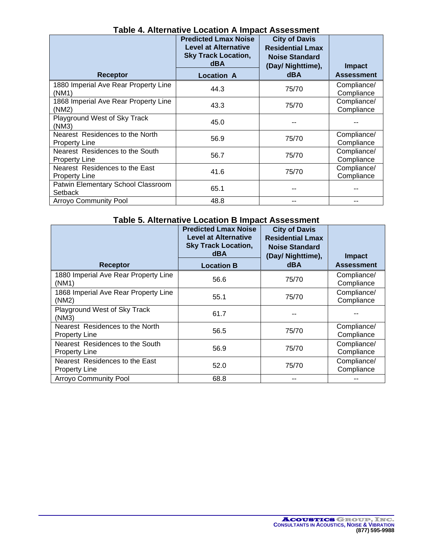| Table 4. Alternative Location A Impact Assessment<br><b>Predicted Lmax Noise</b><br><b>City of Davis</b> |                                                                         |                                                                       |                           |
|----------------------------------------------------------------------------------------------------------|-------------------------------------------------------------------------|-----------------------------------------------------------------------|---------------------------|
|                                                                                                          | <b>Level at Alternative</b><br><b>Sky Track Location,</b><br><b>dBA</b> | <b>Residential Lmax</b><br><b>Noise Standard</b><br>(Day/ Nighttime), | <b>Impact</b>             |
| <b>Receptor</b>                                                                                          | <b>Location A</b>                                                       | <b>dBA</b>                                                            | <b>Assessment</b>         |
| 1880 Imperial Ave Rear Property Line<br>(NM1)                                                            | 44.3                                                                    | 75/70                                                                 | Compliance/<br>Compliance |
| 1868 Imperial Ave Rear Property Line<br>(NM2)                                                            | 43.3                                                                    | 75/70                                                                 | Compliance/<br>Compliance |
| Playground West of Sky Track<br>(NM3)                                                                    | 45.0                                                                    |                                                                       |                           |
| Nearest Residences to the North<br><b>Property Line</b>                                                  | 56.9                                                                    | 75/70                                                                 | Compliance/<br>Compliance |
| Nearest Residences to the South<br><b>Property Line</b>                                                  | 56.7                                                                    | 75/70                                                                 | Compliance/<br>Compliance |
| Nearest Residences to the East<br><b>Property Line</b>                                                   | 41.6                                                                    | 75/70                                                                 | Compliance/<br>Compliance |
| Patwin Elementary School Classroom<br>Setback                                                            | 65.1                                                                    |                                                                       |                           |
| <b>Arroyo Community Pool</b>                                                                             | 48.8                                                                    | --                                                                    | --                        |

### **Table 4. Alternative Location A Impact Assessment**

## **Table 5. Alternative Location B Impact Assessment**

|                                                         | <b>Predicted Lmax Noise</b><br><b>Level at Alternative</b><br><b>Sky Track Location,</b><br><b>dBA</b> | <b>City of Davis</b><br><b>Residential Lmax</b><br><b>Noise Standard</b><br>(Day/ Nighttime), | <b>Impact</b>             |
|---------------------------------------------------------|--------------------------------------------------------------------------------------------------------|-----------------------------------------------------------------------------------------------|---------------------------|
| <b>Receptor</b>                                         | <b>Location B</b>                                                                                      | <b>dBA</b>                                                                                    | <b>Assessment</b>         |
| 1880 Imperial Ave Rear Property Line<br>(NM1)           | 56.6                                                                                                   | 75/70                                                                                         | Compliance/<br>Compliance |
| 1868 Imperial Ave Rear Property Line<br>(NM2)           | 55.1                                                                                                   | 75/70                                                                                         | Compliance/<br>Compliance |
| Playground West of Sky Track<br>(NM3)                   | 61.7                                                                                                   |                                                                                               |                           |
| Nearest Residences to the North<br><b>Property Line</b> | 56.5                                                                                                   | 75/70                                                                                         | Compliance/<br>Compliance |
| Nearest Residences to the South<br><b>Property Line</b> | 56.9                                                                                                   | 75/70                                                                                         | Compliance/<br>Compliance |
| Nearest Residences to the East<br><b>Property Line</b>  | 52.0                                                                                                   | 75/70                                                                                         | Compliance/<br>Compliance |
| <b>Arroyo Community Pool</b>                            | 68.8                                                                                                   | --                                                                                            |                           |